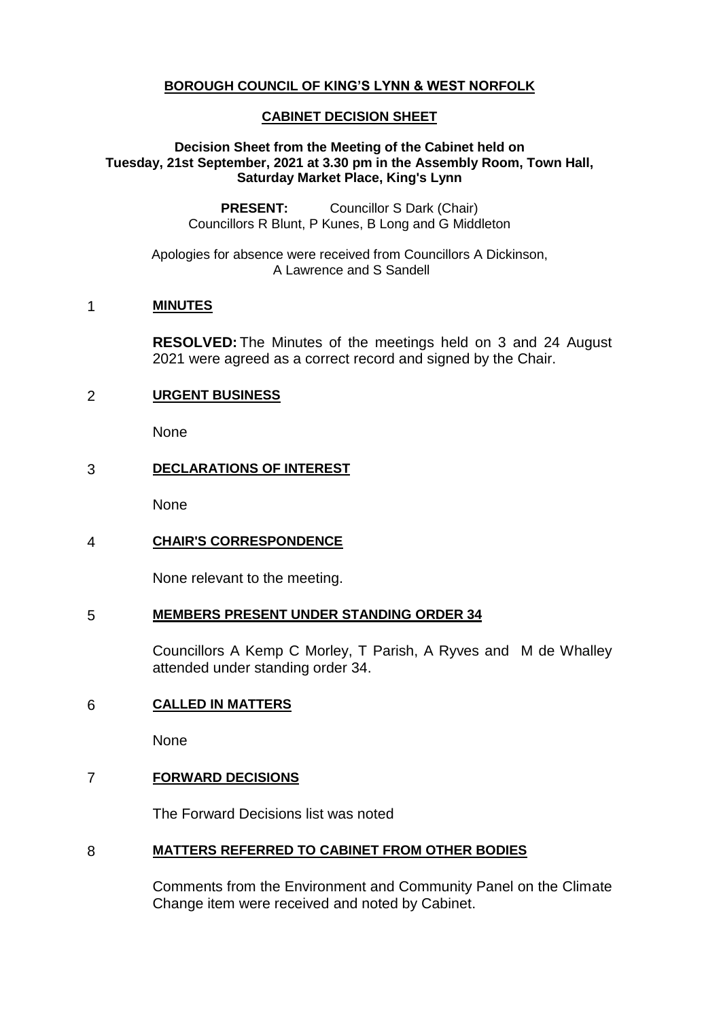# **BOROUGH COUNCIL OF KING'S LYNN & WEST NORFOLK**

# **CABINET DECISION SHEET**

## **Decision Sheet from the Meeting of the Cabinet held on Tuesday, 21st September, 2021 at 3.30 pm in the Assembly Room, Town Hall, Saturday Market Place, King's Lynn**

**PRESENT:** Councillor S Dark (Chair) Councillors R Blunt, P Kunes, B Long and G Middleton

Apologies for absence were received from Councillors A Dickinson, A Lawrence and S Sandell

# 1 **MINUTES**

**RESOLVED:** The Minutes of the meetings held on 3 and 24 August 2021 were agreed as a correct record and signed by the Chair.

## 2 **URGENT BUSINESS**

None

## 3 **DECLARATIONS OF INTEREST**

None

# 4 **CHAIR'S CORRESPONDENCE**

None relevant to the meeting.

#### 5 **MEMBERS PRESENT UNDER STANDING ORDER 34**

Councillors A Kemp C Morley, T Parish, A Ryves and M de Whalley attended under standing order 34.

# 6 **CALLED IN MATTERS**

None

# 7 **FORWARD DECISIONS**

The Forward Decisions list was noted

#### 8 **MATTERS REFERRED TO CABINET FROM OTHER BODIES**

Comments from the Environment and Community Panel on the Climate Change item were received and noted by Cabinet.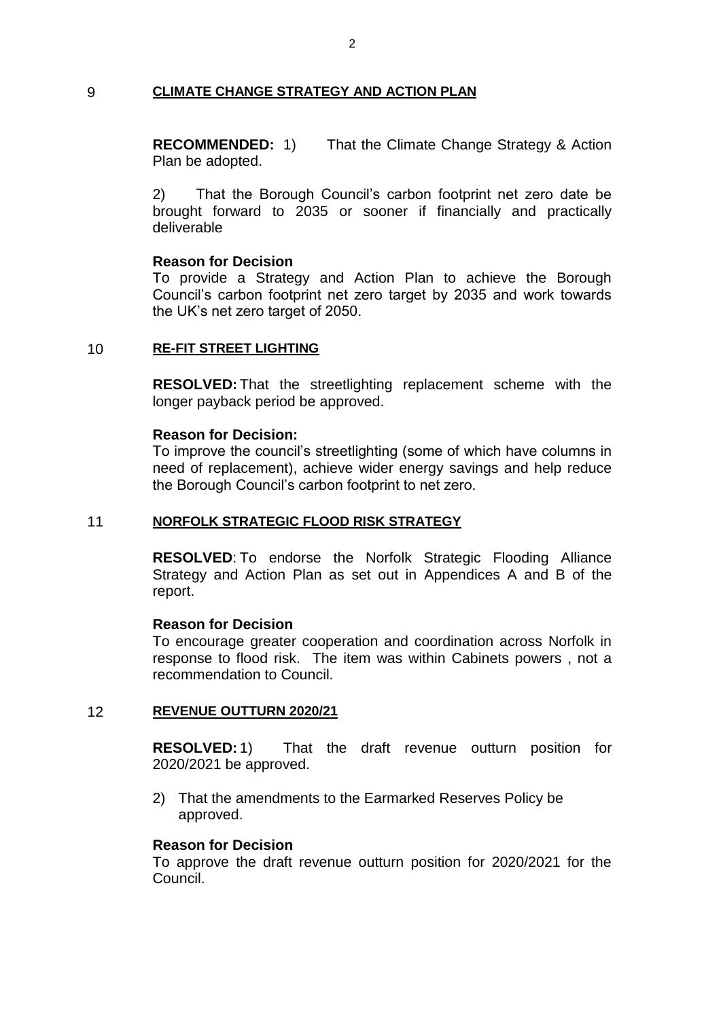# 9 **CLIMATE CHANGE STRATEGY AND ACTION PLAN**

**RECOMMENDED:** 1) That the Climate Change Strategy & Action Plan be adopted.

2) That the Borough Council's carbon footprint net zero date be brought forward to 2035 or sooner if financially and practically deliverable

#### **Reason for Decision**

To provide a Strategy and Action Plan to achieve the Borough Council's carbon footprint net zero target by 2035 and work towards the UK's net zero target of 2050.

## 10 **RE-FIT STREET LIGHTING**

**RESOLVED:** That the streetlighting replacement scheme with the longer payback period be approved.

#### **Reason for Decision:**

To improve the council's streetlighting (some of which have columns in need of replacement), achieve wider energy savings and help reduce the Borough Council's carbon footprint to net zero.

#### 11 **NORFOLK STRATEGIC FLOOD RISK STRATEGY**

**RESOLVED**: To endorse the Norfolk Strategic Flooding Alliance Strategy and Action Plan as set out in Appendices A and B of the report.

#### **Reason for Decision**

To encourage greater cooperation and coordination across Norfolk in response to flood risk. The item was within Cabinets powers , not a recommendation to Council.

#### 12 **REVENUE OUTTURN 2020/21**

**RESOLVED:** 1) That the draft revenue outturn position for 2020/2021 be approved.

2) That the amendments to the Earmarked Reserves Policy be approved.

## **Reason for Decision**

To approve the draft revenue outturn position for 2020/2021 for the Council.